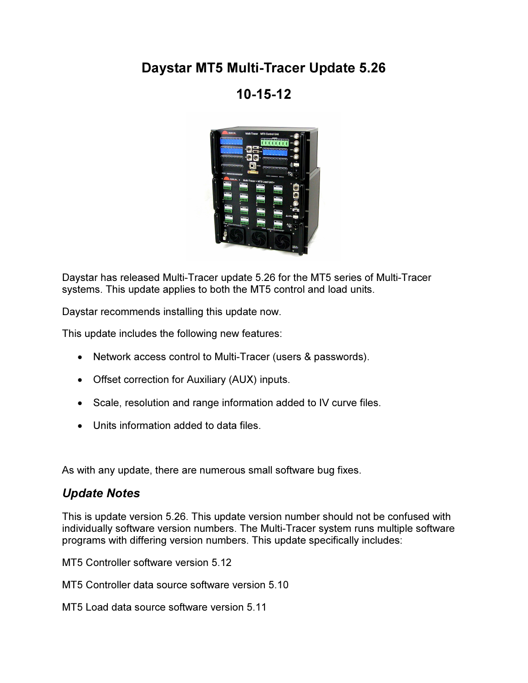## Daystar MT5 Multi-Tracer Update 5.26

## 10-15-12



Daystar has released Multi-Tracer update 5.26 for the MT5 series of Multi-Tracer systems. This update applies to both the MT5 control and load units.

Daystar recommends installing this update now.

This update includes the following new features:

- Network access control to Multi-Tracer (users & passwords).
- Offset correction for Auxiliary (AUX) inputs.
- Scale, resolution and range information added to IV curve files.
- Units information added to data files.

As with any update, there are numerous small software bug fixes.

## Update Notes

This is update version 5.26. This update version number should not be confused with individually software version numbers. The Multi-Tracer system runs multiple software programs with differing version numbers. This update specifically includes:

MT5 Controller software version 5.12

MT5 Controller data source software version 5.10

MT5 Load data source software version 5.11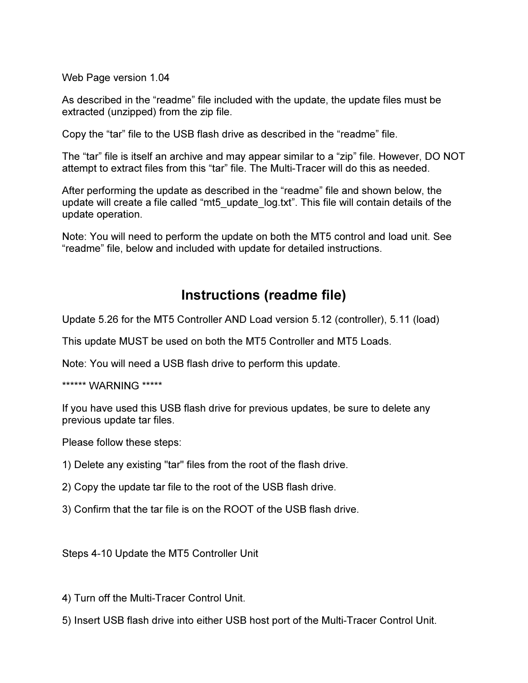Web Page version 1.04

As described in the "readme" file included with the update, the update files must be extracted (unzipped) from the zip file.

Copy the "tar" file to the USB flash drive as described in the "readme" file.

The "tar" file is itself an archive and may appear similar to a "zip" file. However, DO NOT attempt to extract files from this "tar" file. The Multi-Tracer will do this as needed.

After performing the update as described in the "readme" file and shown below, the update will create a file called "mt5 update log.txt". This file will contain details of the update operation.

Note: You will need to perform the update on both the MT5 control and load unit. See "readme" file, below and included with update for detailed instructions.

## Instructions (readme file)

Update 5.26 for the MT5 Controller AND Load version 5.12 (controller), 5.11 (load)

This update MUST be used on both the MT5 Controller and MT5 Loads.

Note: You will need a USB flash drive to perform this update.

\*\*\*\*\*\* WARNING \*\*\*\*\*

If you have used this USB flash drive for previous updates, be sure to delete any previous update tar files.

Please follow these steps:

- 1) Delete any existing "tar" files from the root of the flash drive.
- 2) Copy the update tar file to the root of the USB flash drive.
- 3) Confirm that the tar file is on the ROOT of the USB flash drive.

Steps 4-10 Update the MT5 Controller Unit

4) Turn off the Multi-Tracer Control Unit.

5) Insert USB flash drive into either USB host port of the Multi-Tracer Control Unit.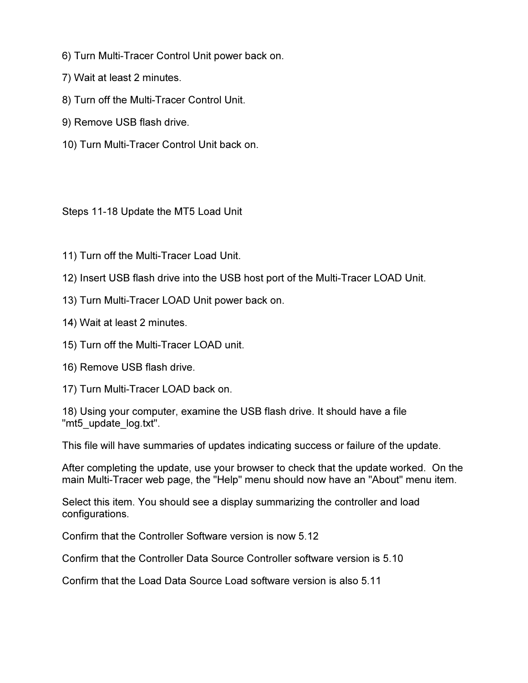- 6) Turn Multi-Tracer Control Unit power back on.
- 7) Wait at least 2 minutes.
- 8) Turn off the Multi-Tracer Control Unit.
- 9) Remove USB flash drive.
- 10) Turn Multi-Tracer Control Unit back on.

Steps 11-18 Update the MT5 Load Unit

- 11) Turn off the Multi-Tracer Load Unit.
- 12) Insert USB flash drive into the USB host port of the Multi-Tracer LOAD Unit.
- 13) Turn Multi-Tracer LOAD Unit power back on.
- 14) Wait at least 2 minutes.
- 15) Turn off the Multi-Tracer LOAD unit.
- 16) Remove USB flash drive.
- 17) Turn Multi-Tracer LOAD back on.

18) Using your computer, examine the USB flash drive. It should have a file "mt5\_update\_log.txt".

This file will have summaries of updates indicating success or failure of the update.

After completing the update, use your browser to check that the update worked. On the main Multi-Tracer web page, the "Help" menu should now have an "About" menu item.

Select this item. You should see a display summarizing the controller and load configurations.

Confirm that the Controller Software version is now 5.12

Confirm that the Controller Data Source Controller software version is 5.10

Confirm that the Load Data Source Load software version is also 5.11